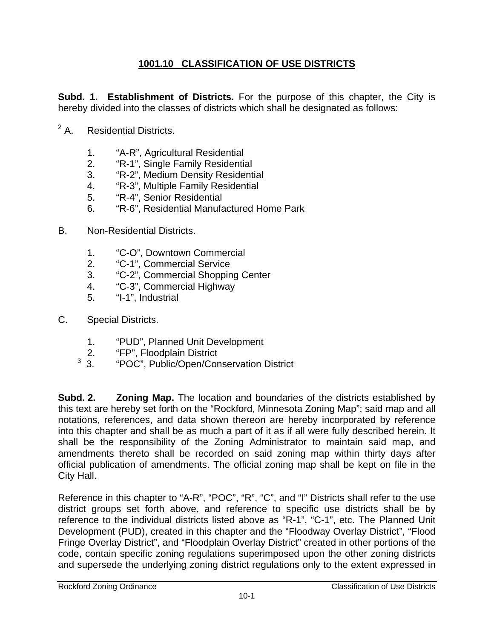## **1001.10 CLASSIFICATION OF USE DISTRICTS**

**Subd. 1. Establishment of Districts.** For the purpose of this chapter, the City is hereby divided into the classes of districts which shall be designated as follows:

- $2A$ . **Residential Districts.** 
	- 1. "A-R", Agricultural Residential
	- 2. "R-1", Single Family Residential
	- 3. "R-2", Medium Density Residential
	- 4. "R-3", Multiple Family Residential
	- 5. "R-4", Senior Residential
	- 6. "R-6", Residential Manufactured Home Park
- B. Non-Residential Districts.
	- 1. "C-O", Downtown Commercial
	- 2. "C-1", Commercial Service
	- 3. "C-2", Commercial Shopping Center
	- 4. "C-3", Commercial Highway
	- 5. "I-1", Industrial
- C. Special Districts.
	- 1. "PUD", Planned Unit Development
	- 2. "FP", Floodplain District
	- <sup>3</sup> 3. "POC", Public/Open/Conservation District

**Subd. 2. Zoning Map.** The location and boundaries of the districts established by this text are hereby set forth on the "Rockford, Minnesota Zoning Map"; said map and all notations, references, and data shown thereon are hereby incorporated by reference into this chapter and shall be as much a part of it as if all were fully described herein. It shall be the responsibility of the Zoning Administrator to maintain said map, and amendments thereto shall be recorded on said zoning map within thirty days after official publication of amendments. The official zoning map shall be kept on file in the City Hall.

Reference in this chapter to "A-R", "POC", "R", "C", and "I" Districts shall refer to the use district groups set forth above, and reference to specific use districts shall be by reference to the individual districts listed above as "R-1", "C-1", etc. The Planned Unit Development (PUD), created in this chapter and the "Floodway Overlay District", "Flood Fringe Overlay District", and "Floodplain Overlay District" created in other portions of the code, contain specific zoning regulations superimposed upon the other zoning districts and supersede the underlying zoning district regulations only to the extent expressed in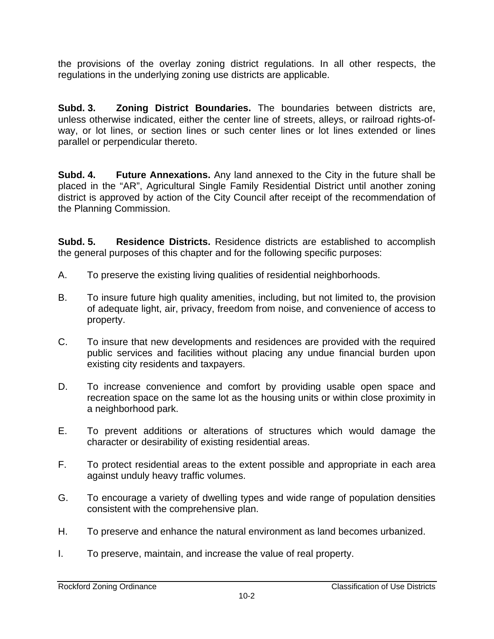the provisions of the overlay zoning district regulations. In all other respects, the regulations in the underlying zoning use districts are applicable.

**Subd. 3. Zoning District Boundaries.** The boundaries between districts are, unless otherwise indicated, either the center line of streets, alleys, or railroad rights-ofway, or lot lines, or section lines or such center lines or lot lines extended or lines parallel or perpendicular thereto.

**Subd. 4. Future Annexations.** Any land annexed to the City in the future shall be placed in the "AR", Agricultural Single Family Residential District until another zoning district is approved by action of the City Council after receipt of the recommendation of the Planning Commission.

**Subd. 5. Residence Districts.** Residence districts are established to accomplish the general purposes of this chapter and for the following specific purposes:

- A. To preserve the existing living qualities of residential neighborhoods.
- B. To insure future high quality amenities, including, but not limited to, the provision of adequate light, air, privacy, freedom from noise, and convenience of access to property.
- C. To insure that new developments and residences are provided with the required public services and facilities without placing any undue financial burden upon existing city residents and taxpayers.
- D. To increase convenience and comfort by providing usable open space and recreation space on the same lot as the housing units or within close proximity in a neighborhood park.
- E. To prevent additions or alterations of structures which would damage the character or desirability of existing residential areas.
- F. To protect residential areas to the extent possible and appropriate in each area against unduly heavy traffic volumes.
- G. To encourage a variety of dwelling types and wide range of population densities consistent with the comprehensive plan.
- H. To preserve and enhance the natural environment as land becomes urbanized.
- I. To preserve, maintain, and increase the value of real property.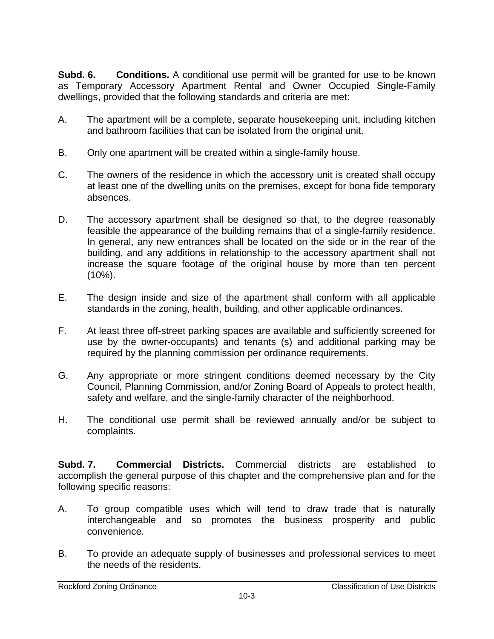**Subd. 6. Conditions.** A conditional use permit will be granted for use to be known as Temporary Accessory Apartment Rental and Owner Occupied Single-Family dwellings, provided that the following standards and criteria are met:

- A. The apartment will be a complete, separate housekeeping unit, including kitchen and bathroom facilities that can be isolated from the original unit.
- B. Only one apartment will be created within a single-family house.
- C. The owners of the residence in which the accessory unit is created shall occupy at least one of the dwelling units on the premises, except for bona fide temporary absences.
- D. The accessory apartment shall be designed so that, to the degree reasonably feasible the appearance of the building remains that of a single-family residence. In general, any new entrances shall be located on the side or in the rear of the building, and any additions in relationship to the accessory apartment shall not increase the square footage of the original house by more than ten percent (10%).
- E. The design inside and size of the apartment shall conform with all applicable standards in the zoning, health, building, and other applicable ordinances.
- F. At least three off-street parking spaces are available and sufficiently screened for use by the owner-occupants) and tenants (s) and additional parking may be required by the planning commission per ordinance requirements.
- G. Any appropriate or more stringent conditions deemed necessary by the City Council, Planning Commission, and/or Zoning Board of Appeals to protect health, safety and welfare, and the single-family character of the neighborhood.
- H. The conditional use permit shall be reviewed annually and/or be subject to complaints.

**Subd. 7. Commercial Districts.** Commercial districts are established to accomplish the general purpose of this chapter and the comprehensive plan and for the following specific reasons:

- A. To group compatible uses which will tend to draw trade that is naturally interchangeable and so promotes the business prosperity and public convenience.
- B. To provide an adequate supply of businesses and professional services to meet the needs of the residents.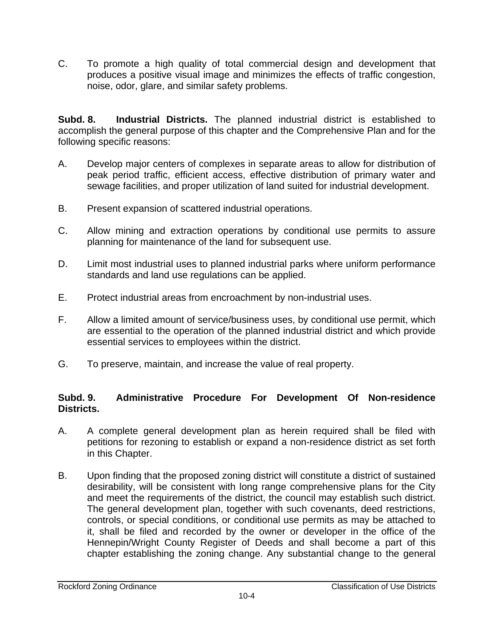C. To promote a high quality of total commercial design and development that produces a positive visual image and minimizes the effects of traffic congestion, noise, odor, glare, and similar safety problems.

**Subd. 8. Industrial Districts.** The planned industrial district is established to accomplish the general purpose of this chapter and the Comprehensive Plan and for the following specific reasons:

- A. Develop major centers of complexes in separate areas to allow for distribution of peak period traffic, efficient access, effective distribution of primary water and sewage facilities, and proper utilization of land suited for industrial development.
- B. Present expansion of scattered industrial operations.
- C. Allow mining and extraction operations by conditional use permits to assure planning for maintenance of the land for subsequent use.
- D. Limit most industrial uses to planned industrial parks where uniform performance standards and land use regulations can be applied.
- E. Protect industrial areas from encroachment by non-industrial uses.
- F. Allow a limited amount of service/business uses, by conditional use permit, which are essential to the operation of the planned industrial district and which provide essential services to employees within the district.
- G. To preserve, maintain, and increase the value of real property.

## **Subd. 9. Administrative Procedure For Development Of Non-residence Districts.**

- A. A complete general development plan as herein required shall be filed with petitions for rezoning to establish or expand a non-residence district as set forth in this Chapter.
- B. Upon finding that the proposed zoning district will constitute a district of sustained desirability, will be consistent with long range comprehensive plans for the City and meet the requirements of the district, the council may establish such district. The general development plan, together with such covenants, deed restrictions, controls, or special conditions, or conditional use permits as may be attached to it, shall be filed and recorded by the owner or developer in the office of the Hennepin/Wright County Register of Deeds and shall become a part of this chapter establishing the zoning change. Any substantial change to the general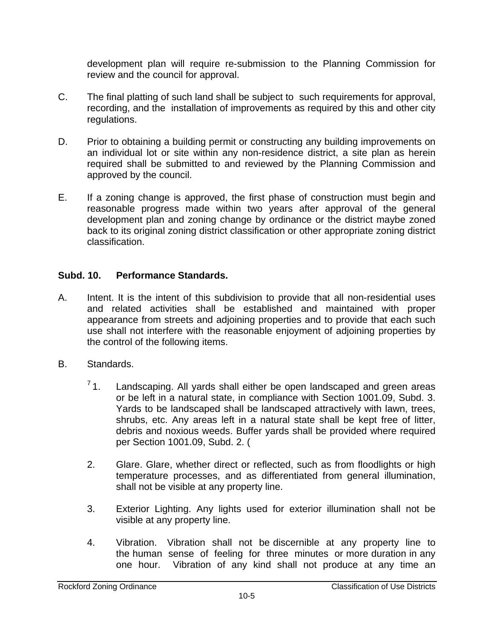development plan will require re-submission to the Planning Commission for review and the council for approval.

- C. The final platting of such land shall be subject to such requirements for approval, recording, and the installation of improvements as required by this and other city regulations.
- D. Prior to obtaining a building permit or constructing any building improvements on an individual lot or site within any non-residence district, a site plan as herein required shall be submitted to and reviewed by the Planning Commission and approved by the council.
- E. If a zoning change is approved, the first phase of construction must begin and reasonable progress made within two years after approval of the general development plan and zoning change by ordinance or the district maybe zoned back to its original zoning district classification or other appropriate zoning district classification.

## **Subd. 10. Performance Standards.**

- A. Intent. It is the intent of this subdivision to provide that all non-residential uses and related activities shall be established and maintained with proper appearance from streets and adjoining properties and to provide that each such use shall not interfere with the reasonable enjoyment of adjoining properties by the control of the following items.
- B. Standards.
	- $71.$  Landscaping. All yards shall either be open landscaped and green areas or be left in a natural state, in compliance with Section 1001.09, Subd. 3. Yards to be landscaped shall be landscaped attractively with lawn, trees, shrubs, etc. Any areas left in a natural state shall be kept free of litter, debris and noxious weeds. Buffer yards shall be provided where required per Section 1001.09, Subd. 2. (
	- 2. Glare. Glare, whether direct or reflected, such as from floodlights or high temperature processes, and as differentiated from general illumination, shall not be visible at any property line.
	- 3. Exterior Lighting. Any lights used for exterior illumination shall not be visible at any property line.
	- 4. Vibration. Vibration shall not be discernible at any property line to the human sense of feeling for three minutes or more duration in any one hour. Vibration of any kind shall not produce at any time an